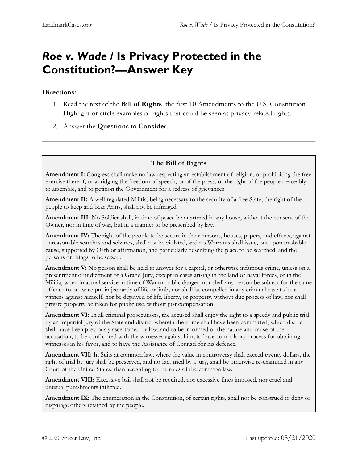# *Roe v. Wade* **/ Is Privacy Protected in the Constitution?—Answer Key**

#### **Directions:**

- 1. Read the text of the **Bill of Rights**, the first 10 Amendments to the U.S. Constitution. Highlight or circle examples of rights that could be seen as privacy-related rights.
- 2. Answer the **Questions to Consider**.

### **The Bill of Rights**

**Amendment I:** Congress shall make no law respecting an establishment of religion, or prohibiting the free exercise thereof; or abridging the freedom of speech, or of the press; or the right of the people peaceably to assemble, and to petition the Government for a redress of grievances.

**Amendment II:** A well regulated Militia, being necessary to the security of a free State, the right of the people to keep and bear Arms, shall not be infringed.

**Amendment III:** No Soldier shall, in time of peace be quartered in any house, without the consent of the Owner, nor in time of war, but in a manner to be prescribed by law.

**Amendment IV:** The right of the people to be secure in their persons, houses, papers, and effects, against unreasonable searches and seizures, shall not be violated, and no Warrants shall issue, but upon probable cause, supported by Oath or affirmation, and particularly describing the place to be searched, and the persons or things to be seized.

**Amendment V:** No person shall be held to answer for a capital, or otherwise infamous crime, unless on a presentment or indictment of a Grand Jury, except in cases arising in the land or naval forces, or in the Militia, when in actual service in time of War or public danger; nor shall any person be subject for the same offence to be twice put in jeopardy of life or limb; nor shall be compelled in any criminal case to be a witness against himself, nor be deprived of life, liberty, or property, without due process of law; nor shall private property be taken for public use, without just compensation.

**Amendment VI:** In all criminal prosecutions, the accused shall enjoy the right to a speedy and public trial, by an impartial jury of the State and district wherein the crime shall have been committed, which district shall have been previously ascertained by law, and to be informed of the nature and cause of the accusation; to be confronted with the witnesses against him; to have compulsory process for obtaining witnesses in his favor, and to have the Assistance of Counsel for his defence.

**Amendment VII:** In Suits at common law, where the value in controversy shall exceed twenty dollars, the right of trial by jury shall be preserved, and no fact tried by a jury, shall be otherwise re-examined in any Court of the United States, than according to the rules of the common law.

**Amendment VIII:** Excessive bail shall not be required, nor excessive fines imposed, nor cruel and unusual punishments inflicted.

**Amendment IX:** The enumeration in the Constitution, of certain rights, shall not be construed to deny or disparage others retained by the people.